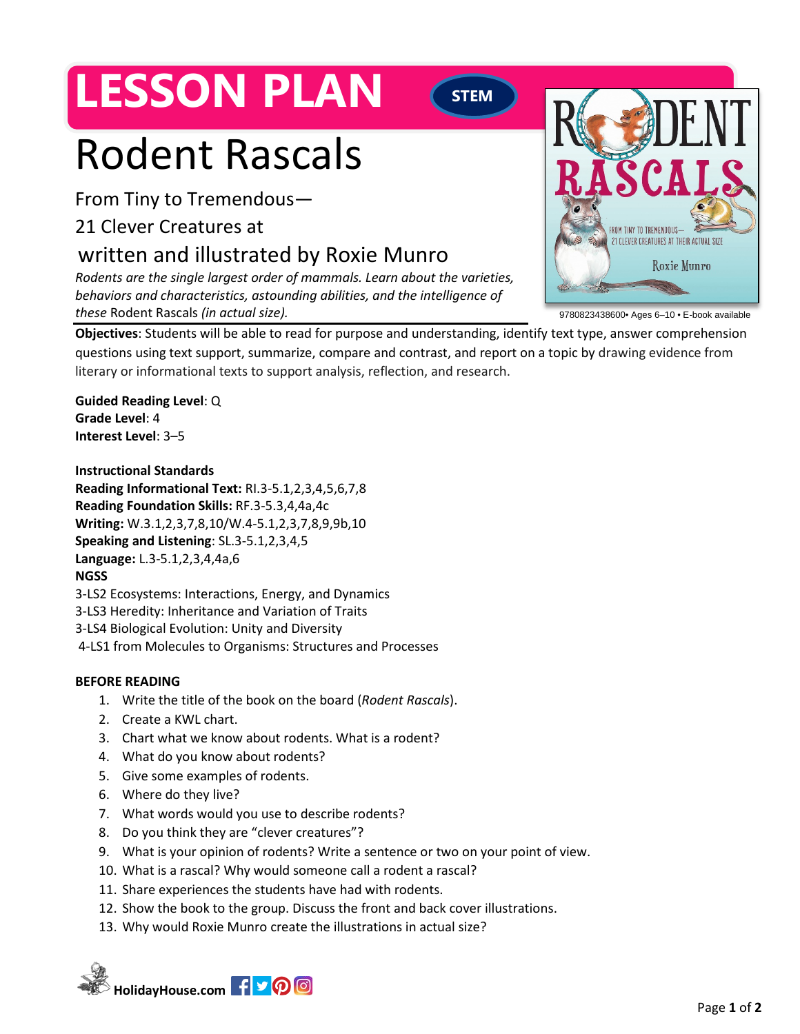# **LESSON PLAN**

### **STEM**

# Rodent Rascals

From Tiny to Tremendous—

### 21 Clever Creatures at

## written and illustrated by Roxie Munro

*Rodents are the single largest order of mammals. Learn about the varieties, behaviors and characteristics, astounding abilities, and the intelligence of these* Rodent Rascals *(in actual size).*



9780823438600• Ages 6–10 • E-book available

**Objectives**: Students will be able to read for purpose and understanding, identify text type, answer comprehension questions using text support, summarize, compare and contrast, and report on a topic by drawing evidence from literary or informational texts to support analysis, reflection, and research.

**Guided Reading Level**: Q **Grade Level**: 4 **Interest Level**: 3–5

#### **Instructional Standards**

**Reading Informational Text:** RI.3-5.1,2,3,4,5,6,7,8 **Reading Foundation Skills:** RF.3-5.3,4,4a,4c **Writing:** W.3.1,2,3,7,8,10/W.4-5.1,2,3,7,8,9,9b,10 **Speaking and Listening**: SL.3-5.1,2,3,4,5 **Language:** L.3-5.1,2,3,4,4a,6 **NGSS** [3-LS2 Ecosystems: Interactions, Energy, and Dynamics](https://www.nextgenscience.org/dci-arrangement/3-ls2-ecosystems-interactions-energy-and-dynamics)

- [3-LS3 Heredity: Inheritance and Variation of Traits](https://www.nextgenscience.org/dci-arrangement/3-ls3-heredity-inheritance-and-variation-traits)
- [3-LS4 Biological Evolution: Unity and Diversity](https://www.nextgenscience.org/dci-arrangement/3-ls4-biological-evolution-unity-and-diversity)
- 4-LS1 from Molecules to Organisms: Structures and Processes

#### **BEFORE READING**

- 1. Write the title of the book on the board (*Rodent Rascals*).
- 2. Create a KWL chart.
- 3. Chart what we know about rodents. What is a rodent?
- 4. What do you know about rodents?
- 5. Give some examples of rodents.
- 6. Where do they live?
- 7. What words would you use to describe rodents?
- 8. Do you think they are "clever creatures"?
- 9. What is your opinion of rodents? Write a sentence or two on your point of view.
- 10. What is a rascal? Why would someone call a rodent a rascal?
- 11. Share experiences the students have had with rodents.
- 12. Show the book to the group. Discuss the front and back cover illustrations.
- 13. Why would Roxie Munro create the illustrations in actual size?